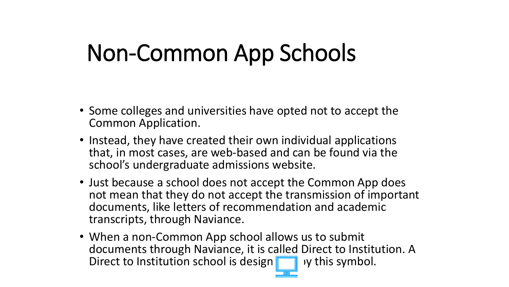## Non-Common App Schools

- Some colleges and universities have opted not to accept the Common Application.
- Instead, they have created their own individual applications that, in most cases, are web-based and can be found via the school's undergraduate admissions website.
- Just because a school does not accept the Common App does not mean that they do not accept the transmission of important documents, like letters of recommendation and academic transcripts, through Naviance.
- When a non-Common App school allows us to submit documents through Naviance, it is called Direct to Institution. A Direct to Institution school is design  $\blacksquare$  y this symbol.